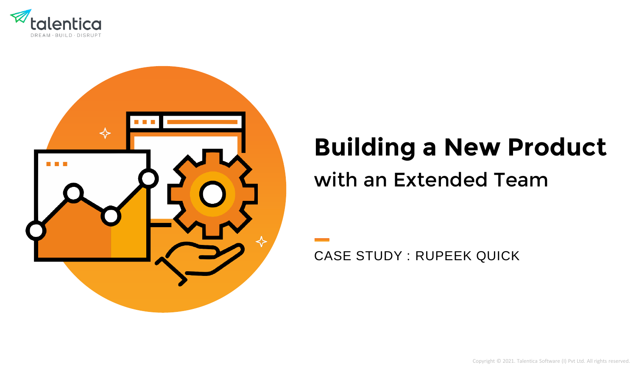



# **Building a New Product**

# with an Extended Team

CASE STUDY : RUPEEK QUICK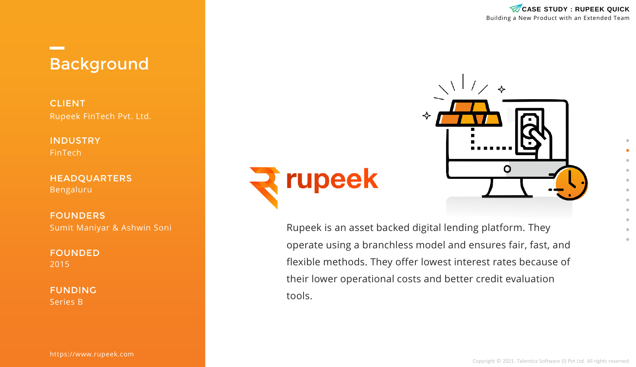

❖

O

# Background

CLIENT Rupeek FinTech Pvt. Ltd.

INDUSTRY FinTech

**The Company** 

HEADQUARTERS Bengaluru

FOUNDERS Sumit Maniyar & Ashwin Soni

FOUNDED 2015

FUNDING Series B

https://www.rupeek.com



Rupeek is an asset backed digital lending platform. They operate using a branchless model and ensures fair, fast, and flexible methods. They offer lowest interest rates because of their lower operational costs and better credit evaluation tools.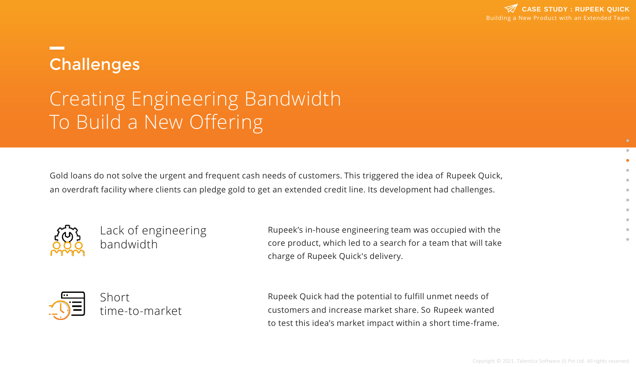# **Challenges**

# Creating Engineering Bandwidth To Build a New Offering

Gold loans do not solve the urgent and frequent cash needs of customers. This triggered the idea of Rupeek Quick, an overdraft facility where clients can pledge gold to get an extended credit line. Its development had challenges.



Lack of engineering bandwidth

Rupeek's in-house engineering team was occupied with the core product, which led to a search for a team that will take charge of Rupeek Quick's delivery.



Rupeek Quick had the potential to fulfill unmet needs of customers and increase market share. So Rupeek wanted to test this idea's market impact within a short time-frame.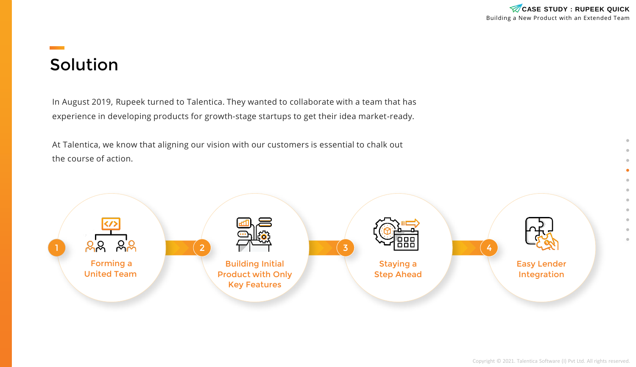In August 2019, Rupeek turned to Talentica. They wanted to collaborate with a team that has experience in developing products for growth-stage startups to get their idea market-ready.

At Talentica, we know that aligning our vision with our customers is essential to chalk out the course of action.

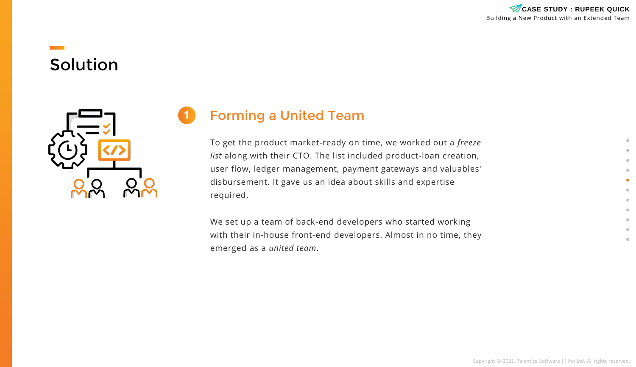

**21**

### Forming a United Team

To get the product market-ready on time, we worked out a *freeze list* along with their CTO. The list included product-loan creation, user flow, ledger management, payment gateways and valuables' disbursement. It gave us an idea about skills and expertise required.

We set up a team of back-end developers who started working with their in-house front-end developers. Almost in no time, they emerged as a *united team*.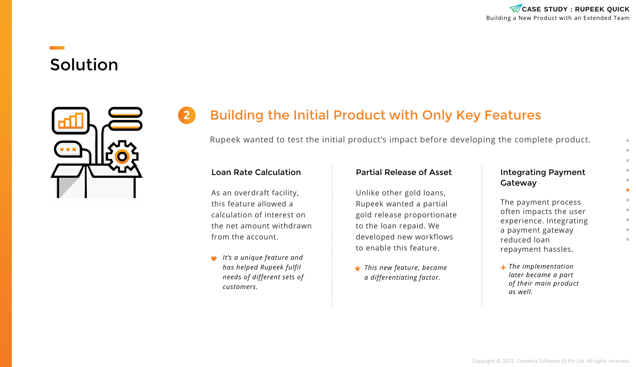



### **2** Building the Initial Product with Only Key Features

Rupeek wanted to test the initial product's impact before developing the complete product.

#### Loan Rate Calculation

As an overdraft facility, this feature allowed a calculation of interest on the net amount withdrawn from the account.

*It's a unique feature and has helped Rupeek fulfil needs of different sets of customers.*

#### Partial Release of Asset

Unlike other gold loans, Rupeek wanted a partial gold release proportionate to the loan repaid. We developed new workflows to enable this feature.

*This new feature, became a differentiating factor.*

#### Integrating Payment Gateway

The payment process often impacts the user experience. Integrating a payment gateway reduced loan repayment hassles.

*The implementation later became a part of their main product as well.*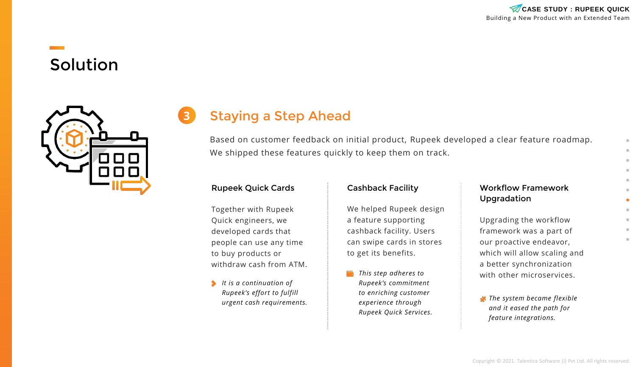

### **3** Staying a Step Ahead

Based on customer feedback on initial product, Rupeek developed a clear feature roadmap. We shipped these features quickly to keep them on track.

#### Rupeek Quick Cards

Together with Rupeek Quick engineers, we developed cards that people can use any time to buy products or withdraw cash from ATM.

*It is a continuation of Rupeek's effort to fulfill urgent cash requirements.*

#### Cashback Facility

We helped Rupeek design a feature supporting cashback facility. Users can swipe cards in stores to get its benefits.

*This step adheres to Rupeek's commitment to enriching customer experience through Rupeek Quick Services.*

#### Workflow Framework Upgradation

Upgrading the workflow framework was a part of our proactive endeavor, which will allow scaling and a better synchronization with other microservices.

*The system became flexible and it eased the path for feature integrations.*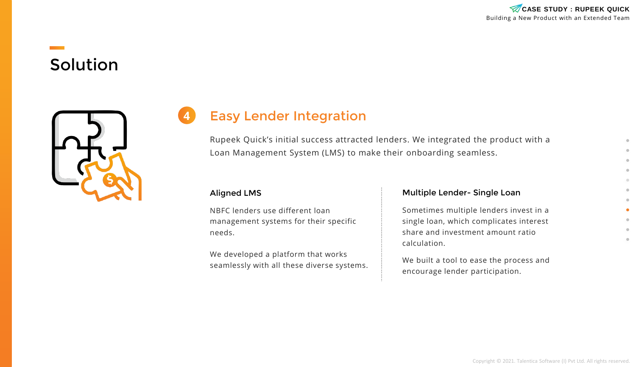

### **4** Easy Lender Integration

Rupeek Quick's initial success attracted lenders. We integrated the product with a Loan Management System (LMS) to make their onboarding seamless.

#### Aligned LMS

NBFC lenders use different loan management systems for their specific needs.

We developed a platform that works seamlessly with all these diverse systems.

#### Multiple Lender- Single Loan

Sometimes multiple lenders invest in a single loan, which complicates interest share and investment amount ratio calculation.

We built a tool to ease the process and encourage lender participation.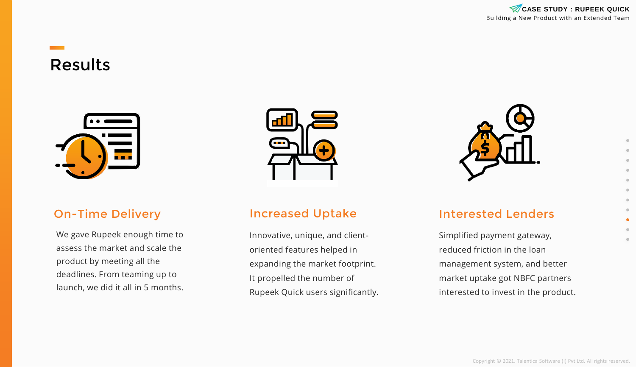

### Results



#### On-Time Delivery

We gave Rupeek enough time to assess the market and scale the product by meeting all the deadlines. From teaming up to launch, we did it all in 5 months.



#### Increased Uptake

Innovative, unique, and clientoriented features helped in expanding the market footprint. It propelled the number of Rupeek Quick users significantly.



#### Interested Lenders

Simplified payment gateway, reduced friction in the loan management system, and better market uptake got NBFC partners interested to invest in the product.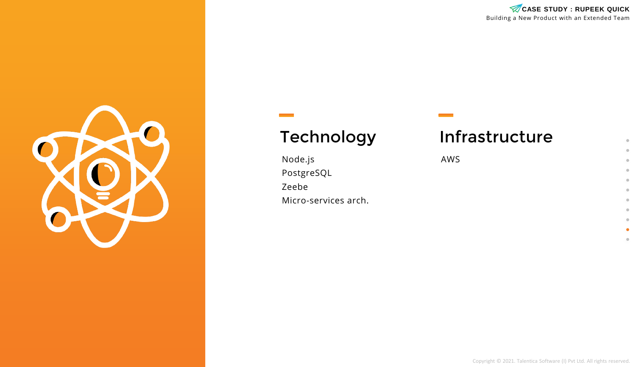

## Technology

Node.js PostgreSQL Zeebe Micro-services arch.

# Infrastructure

AWS

Building a New Product with an Extended Team CASE STUDY : RUPEEK QUICK

> $\bullet$  $\bullet$  $\qquad \qquad \Box$  $\bullet$  $\bullet$  $\blacksquare$  $\qquad \qquad \Box$  $\qquad \qquad \Box$  $\oplus$  $\bullet$  $\scriptstyle\odot$